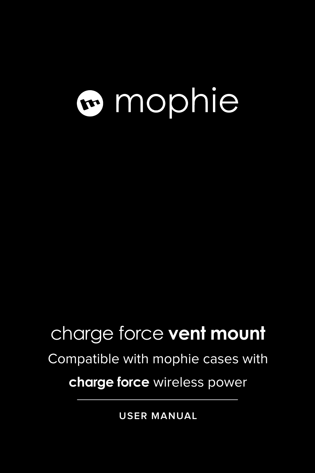# mophie

### charge force **vent mount**

#### Compatible with mophie cases with

#### **charge force** wireless power

**USER MANUAL**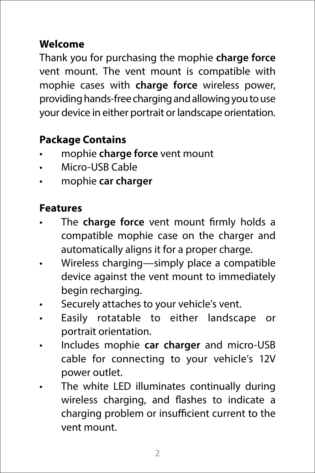#### **Welcome**

Thank you for purchasing the mophie **charge force**  vent mount. The vent mount is compatible with mophie cases with **charge force** wireless power, providing hands-free charging and allowing you to use your device in either portrait or landscape orientation.

#### **Package Contains**

- mophie **charge force** vent mount
- Micro-USB Cable
- mophie **car charger**

#### **Features**

- The **charge force** vent mount firmly holds a compatible mophie case on the charger and automatically aligns it for a proper charge.
- Wireless charging—simply place a compatible device against the vent mount to immediately begin recharging.
- Securely attaches to your vehicle's vent.
- Easily rotatable to either landscape or portrait orientation.
- Includes mophie **car charger** and micro-USB cable for connecting to your vehicle's 12V power outlet.
- The white LED illuminates continually during wireless charging, and flashes to indicate a charging problem or insufficient current to the vent mount.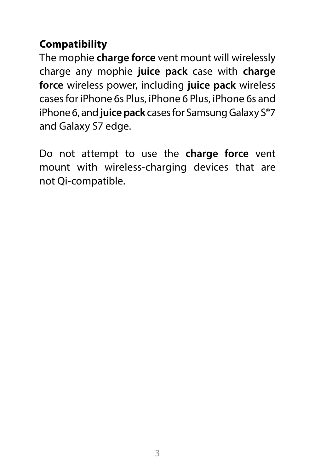#### **Compatibility**

The mophie **charge force** vent mount will wirelessly charge any mophie **juice pack** case with **charge force** wireless power, including **juice pack** wireless cases for iPhone 6s Plus, iPhone 6 Plus, iPhone 6s and iPhone 6, and **juice pack** cases for Samsung Galaxy S®7 and Galaxy S7 edge.

Do not attempt to use the **charge force** vent mount with wireless-charging devices that are not Qi-compatible.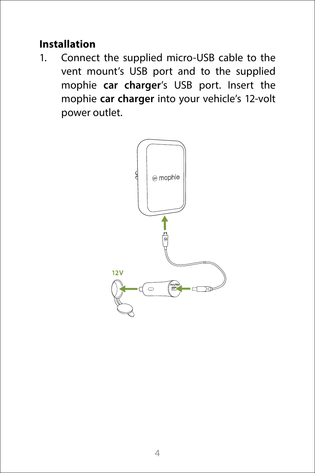#### **Installation**

1. Connect the supplied micro-USB cable to the vent mount's USB port and to the supplied mophie **car charger**'s USB port. Insert the mophie **car charger** into your vehicle's 12-volt power outlet.

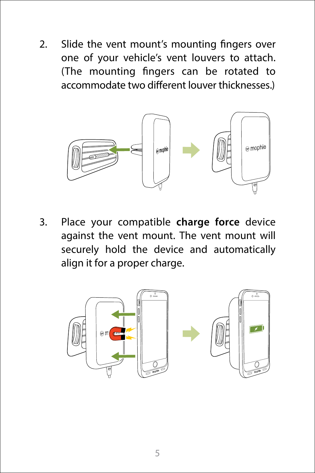2. Slide the vent mount's mounting fingers over one of your vehicle's vent louvers to attach. (The mounting fingers can be rotated to accommodate two different louver thicknesses.)



3. Place your compatible **charge force** device against the vent mount. The vent mount will securely hold the device and automatically align it for a proper charge.

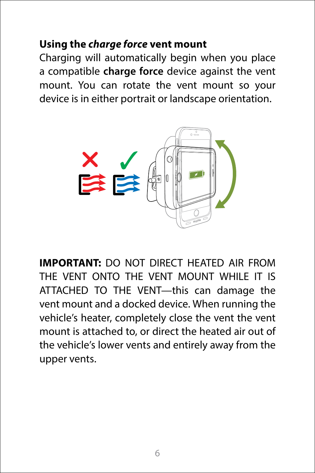#### **Using the** *charge force* **vent mount**

Charging will automatically begin when you place a compatible **charge force** device against the vent mount. You can rotate the vent mount so your device is in either portrait or landscape orientation.



**IMPORTANT:** DO NOT DIRECT HEATED AIR FROM THE VENT ONTO THE VENT MOUNT WHILE IT IS ATTACHED TO THE VENT—this can damage the vent mount and a docked device. When running the vehicle's heater, completely close the vent the vent mount is attached to, or direct the heated air out of the vehicle's lower vents and entirely away from the upper vents.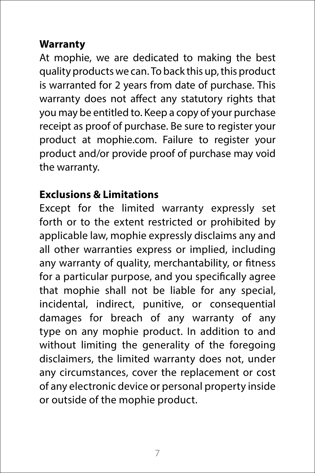#### **Warranty**

At mophie, we are dedicated to making the best quality products we can. To back this up, this product is warranted for 2 years from date of purchase. This warranty does not affect any statutory rights that you may be entitled to. Keep a copy of your purchase receipt as proof of purchase. Be sure to register your product at mophie.com. Failure to register your product and/or provide proof of purchase may void the warranty.

#### **Exclusions & Limitations**

Except for the limited warranty expressly set forth or to the extent restricted or prohibited by applicable law, mophie expressly disclaims any and all other warranties express or implied, including any warranty of quality, merchantability, or fitness for a particular purpose, and you specifically agree that mophie shall not be liable for any special, incidental, indirect, punitive, or consequential damages for breach of any warranty of any type on any mophie product. In addition to and without limiting the generality of the foregoing disclaimers, the limited warranty does not, under any circumstances, cover the replacement or cost of any electronic device or personal property inside or outside of the mophie product.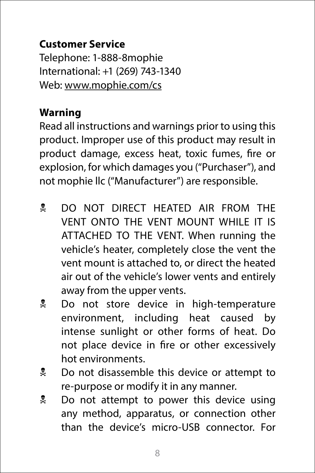#### **Customer Service**

Telephone: 1-888-8mophie International: +1 (269) 743-1340 Web: [www.mophie.com/cs](http://www.mophie.com/cs)

#### **Warning**

Read all instructions and warnings prior to using this product. Improper use of this product may result in product damage, excess heat, toxic fumes, fire or explosion, for which damages you ("Purchaser"), and not mophie llc ("Manufacturer") are responsible.

- **DO NOT DIRECT HEATED AIR FROM THE** VENT ONTO THE VENT MOUNT WHILE IT IS ATTACHED TO THE VENT. When running the vehicle's heater, completely close the vent the vent mount is attached to, or direct the heated air out of the vehicle's lower vents and entirely away from the upper vents.
- N Do not store device in high-temperature environment, including heat caused by intense sunlight or other forms of heat. Do not place device in fire or other excessively hot environments.
- **Let** Do not disassemble this device or attempt to re-purpose or modify it in any manner.
- **Do not attempt to power this device using** any method, apparatus, or connection other than the device's micro-USB connector. For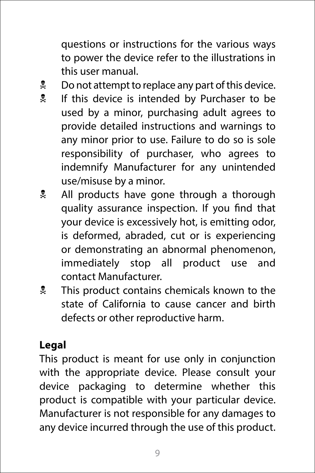questions or instructions for the various ways to power the device refer to the illustrations in this user manual.

- $\frac{1}{2}$  Do not attempt to replace any part of this device.
- **If this device is intended by Purchaser to be** used by a minor, purchasing adult agrees to provide detailed instructions and warnings to any minor prior to use. Failure to do so is sole responsibility of purchaser, who agrees to indemnify Manufacturer for any unintended use/misuse by a minor.
- **All products have gone through a thorough** quality assurance inspection. If you find that your device is excessively hot, is emitting odor, is deformed, abraded, cut or is experiencing or demonstrating an abnormal phenomenon, immediately stop all product use and contact Manufacturer.
- **X** This product contains chemicals known to the state of California to cause cancer and birth defects or other reproductive harm.

#### **Legal**

This product is meant for use only in conjunction with the appropriate device. Please consult your device packaging to determine whether this product is compatible with your particular device. Manufacturer is not responsible for any damages to any device incurred through the use of this product.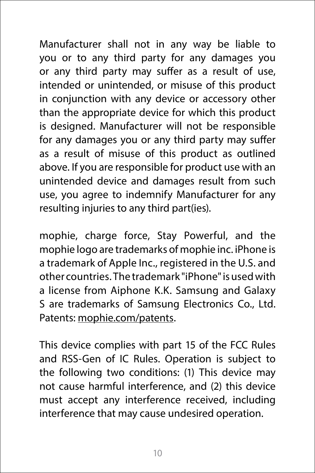Manufacturer shall not in any way be liable to you or to any third party for any damages you or any third party may suffer as a result of use, intended or unintended, or misuse of this product in conjunction with any device or accessory other than the appropriate device for which this product is designed. Manufacturer will not be responsible for any damages you or any third party may suffer as a result of misuse of this product as outlined above. If you are responsible for product use with an unintended device and damages result from such use, you agree to indemnify Manufacturer for any resulting injuries to any third part(ies).

mophie, charge force, Stay Powerful, and the mophie logo are trademarks of mophie inc. iPhone is a trademark of Apple Inc., registered in the U.S. and other countries. The trademark "iPhone" is used with a license from Aiphone K.K. Samsung and Galaxy S are trademarks of Samsung Electronics Co., Ltd. Patents: [mophie.com/patents.](http://mophie.com/patents)

This device complies with part 15 of the FCC Rules and RSS-Gen of IC Rules. Operation is subject to the following two conditions: (1) This device may not cause harmful interference, and (2) this device must accept any interference received, including interference that may cause undesired operation.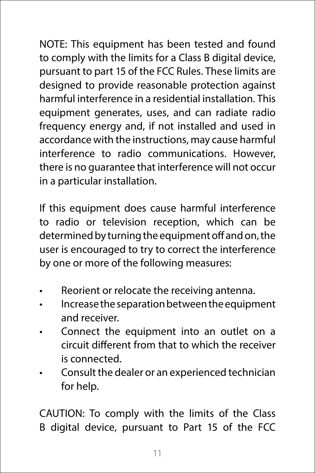NOTE: This equipment has been tested and found to comply with the limits for a Class B digital device, pursuant to part 15 of the FCC Rules. These limits are designed to provide reasonable protection against harmful interference in a residential installation. This equipment generates, uses, and can radiate radio frequency energy and, if not installed and used in accordance with the instructions, may cause harmful interference to radio communications. However, there is no guarantee that interference will not occur in a particular installation.

If this equipment does cause harmful interference to radio or television reception, which can be determined by turning the equipment off and on, the user is encouraged to try to correct the interference by one or more of the following measures:

- Reorient or relocate the receiving antenna.
- Increase the separation between the equipment and receiver.
- Connect the equipment into an outlet on a circuit different from that to which the receiver is connected.
- Consult the dealer or an experienced technician for help.

CAUTION: To comply with the limits of the Class B digital device, pursuant to Part 15 of the FCC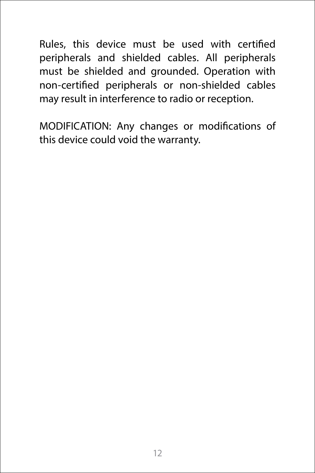Rules, this device must be used with certified peripherals and shielded cables. All peripherals must be shielded and grounded. Operation with non-certified peripherals or non-shielded cables may result in interference to radio or reception.

MODIFICATION: Any changes or modifications of this device could void the warranty.